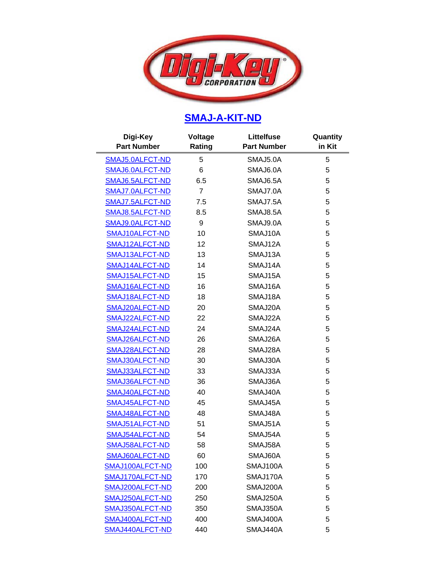

## **[SMAJ-A-KIT-ND](http://search.digikey.com/scripts/DkSearch/dksus.dll?Detail&name=SMAJ-A-KIT-ND)**

| Digi-Key<br><b>Part Number</b> | Voltage<br>Rating | <b>Littelfuse</b><br><b>Part Number</b> | Quantity<br>in Kit |
|--------------------------------|-------------------|-----------------------------------------|--------------------|
| SMAJ5.0ALFCT-ND                | 5                 | SMAJ5.0A                                | 5                  |
| SMAJ6.0ALFCT-ND                | 6                 | SMAJ6.0A                                | 5                  |
| SMAJ6.5ALFCT-ND                | 6.5               | SMAJ6.5A                                | 5                  |
| SMAJ7.0ALFCT-ND                | $\overline{7}$    | SMAJ7.0A                                | 5                  |
| SMAJ7.5ALFCT-ND                | 7.5               | SMAJ7.5A                                | 5                  |
| SMAJ8.5ALFCT-ND                | 8.5               | SMAJ8.5A                                | 5                  |
| SMAJ9.0ALFCT-ND                | 9                 | SMAJ9.0A                                | 5                  |
| SMAJ10ALFCT-ND                 | 10                | SMAJ10A                                 | 5                  |
| SMAJ12ALFCT-ND                 | 12                | SMAJ12A                                 | 5                  |
| SMAJ13ALFCT-ND                 | 13                | SMAJ13A                                 | 5                  |
| SMAJ14ALFCT-ND                 | 14                | SMAJ14A                                 | 5                  |
| SMAJ15ALFCT-ND                 | 15                | SMAJ15A                                 | 5                  |
| SMAJ16ALFCT-ND                 | 16                | SMAJ16A                                 | 5                  |
| SMAJ18ALFCT-ND                 | 18                | SMAJ18A                                 | 5                  |
| SMAJ20ALFCT-ND                 | 20                | SMAJ20A                                 | 5                  |
| SMAJ22ALFCT-ND                 | 22                | SMAJ22A                                 | 5                  |
| SMAJ24ALFCT-ND                 | 24                | SMAJ24A                                 | 5                  |
| SMAJ26ALFCT-ND                 | 26                | SMAJ26A                                 | 5                  |
| SMAJ28ALFCT-ND                 | 28                | SMAJ28A                                 | 5                  |
| SMAJ30ALFCT-ND                 | 30                | SMAJ30A                                 | 5                  |
| SMAJ33ALFCT-ND                 | 33                | SMAJ33A                                 | 5                  |
| SMAJ36ALFCT-ND                 | 36                | SMAJ36A                                 | 5                  |
| SMAJ40ALFCT-ND                 | 40                | SMAJ40A                                 | 5                  |
| SMAJ45ALFCT-ND                 | 45                | SMAJ45A                                 | 5                  |
| SMAJ48ALFCT-ND                 | 48                | SMAJ48A                                 | 5                  |
| SMAJ51ALFCT-ND                 | 51                | SMAJ51A                                 | 5                  |
| SMAJ54ALFCT-ND                 | 54                | SMAJ54A                                 | 5                  |
| SMAJ58ALFCT-ND                 | 58                | SMAJ58A                                 | 5                  |
| SMAJ60ALFCT-ND                 | 60                | SMAJ60A                                 | 5                  |
| SMAJ100ALFCT-ND                | 100               | SMAJ100A                                | 5                  |
| SMAJ170ALFCT-ND                | 170               | SMAJ170A                                | 5                  |
| SMAJ200ALFCT-ND                | 200               | SMAJ200A                                | 5                  |
| SMAJ250ALFCT-ND                | 250               | SMAJ250A                                | 5                  |
| SMAJ350ALFCT-ND                | 350               | SMAJ350A                                | 5                  |
| SMAJ400ALFCT-ND                | 400               | SMAJ400A                                | 5                  |
| SMAJ440ALFCT-ND                | 440               | SMAJ440A                                | 5                  |